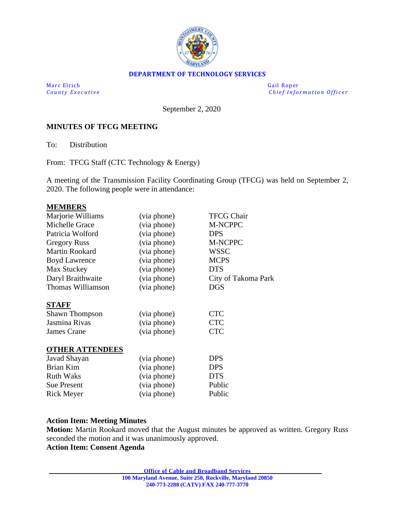

## **DEPARTMENT OF TECHNOLOGY SERVICES**

Marc Elrich Gail Roper

*County Executive Chief Information O fficer*

September 2, 2020

## **MINUTES OF TFCG MEETING**

To: Distribution

From: TFCG Staff (CTC Technology & Energy)

A meeting of the Transmission Facility Coordinating Group (TFCG) was held on September 2, 2020. The following people were in attendance:

#### **MEMBERS**

| Marjorie Williams      | (via phone) | <b>TFCG Chair</b>   |
|------------------------|-------------|---------------------|
| Michelle Grace         | (via phone) | M-NCPPC             |
| Patricia Wolford       | (via phone) | <b>DPS</b>          |
| <b>Gregory Russ</b>    | (via phone) | M-NCPPC             |
| <b>Martin Rookard</b>  | (via phone) | <b>WSSC</b>         |
| <b>Boyd Lawrence</b>   | (via phone) | <b>MCPS</b>         |
| Max Stuckey            | (via phone) | <b>DTS</b>          |
| Daryl Braithwaite      | (via phone) | City of Takoma Park |
| Thomas Williamson      | (via phone) | <b>DGS</b>          |
| <b>STAFF</b>           |             |                     |
| <b>Shawn Thompson</b>  | (via phone) | <b>CTC</b>          |
| Jasmina Rivas          | (via phone) | <b>CTC</b>          |
| <b>James Crane</b>     | (via phone) | <b>CTC</b>          |
| <b>OTHER ATTENDEES</b> |             |                     |
| Javad Shayan           | (via phone) | <b>DPS</b>          |
| <b>Brian Kim</b>       | (via phone) | <b>DPS</b>          |
| <b>Ruth Waks</b>       | (via phone) | <b>DTS</b>          |
| <b>Sue Present</b>     | (via phone) | Public              |
| <b>Rick Meyer</b>      | (via phone) | Public              |

### **Action Item: Meeting Minutes**

**Motion:** Martin Rookard moved that the August minutes be approved as written. Gregory Russ seconded the motion and it was unanimously approved.

**Action Item: Consent Agenda**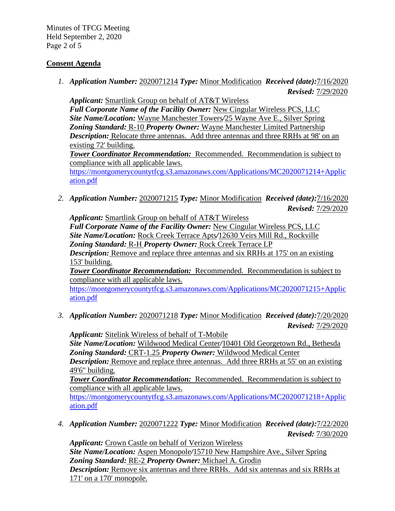Minutes of TFCG Meeting Held September 2, 2020 Page 2 of 5

# **Consent Agenda**

*1. Application Number:* 2020071214 *Type:* Minor Modification *Received (date):*7/16/2020 *Revised:* 7/29/2020

*Applicant:* Smartlink Group on behalf of AT&T Wireless *Full Corporate Name of the Facility Owner:* New Cingular Wireless PCS, LLC *Site Name/Location:* Wayne Manchester Towers*/*25 Wayne Ave E., Silver Spring *Zoning Standard:* R-10 *Property Owner:* Wayne Manchester Limited Partnership *Description:* Relocate three antennas. Add three antennas and three RRHs at 98' on an existing 72' building. *Tower Coordinator Recommendation:* Recommended. Recommendation is subject to compliance with all applicable laws. [https://montgomerycountytfcg.s3.amazonaws.com/Applications/MC2020071214+Applic](https://montgomerycountytfcg.s3.amazonaws.com/Applications/MC2020071214+Application.pdf) [ation.pdf](https://montgomerycountytfcg.s3.amazonaws.com/Applications/MC2020071214+Application.pdf)

*2. Application Number:* 2020071215 *Type:* Minor Modification *Received (date):*7/16/2020 *Revised:* 7/29/2020

*Applicant:* Smartlink Group on behalf of AT&T Wireless *Full Corporate Name of the Facility Owner:* New Cingular Wireless PCS, LLC *Site Name/Location:* Rock Creek Terrace Apts*/*12630 Veirs Mill Rd., Rockville *Zoning Standard:* R-H *Property Owner:* Rock Creek Terrace LP *Description:* Remove and replace three antennas and six RRHs at 175' on an existing 153' building.

*Tower Coordinator Recommendation:* Recommended. Recommendation is subject to compliance with all applicable laws.

[https://montgomerycountytfcg.s3.amazonaws.com/Applications/MC2020071215+Applic](https://montgomerycountytfcg.s3.amazonaws.com/Applications/MC2020071215+Application.pdf) [ation.pdf](https://montgomerycountytfcg.s3.amazonaws.com/Applications/MC2020071215+Application.pdf)

*3. Application Number:* 2020071218 *Type:* Minor Modification *Received (date):*7/20/2020 *Revised:* 7/29/2020

*Applicant:* Sitelink Wireless of behalf of T-Mobile *Site Name/Location:* Wildwood Medical Center*/*10401 Old Georgetown Rd., Bethesda *Zoning Standard:* CRT-1.25 *Property Owner:* Wildwood Medical Center *Description:* Remove and replace three antennas. Add three RRHs at 55' on an existing 49'6" building.

*Tower Coordinator Recommendation:* Recommended. Recommendation is subject to compliance with all applicable laws.

[https://montgomerycountytfcg.s3.amazonaws.com/Applications/MC2020071218+Applic](https://montgomerycountytfcg.s3.amazonaws.com/Applications/MC2020071218+Application.pdf) [ation.pdf](https://montgomerycountytfcg.s3.amazonaws.com/Applications/MC2020071218+Application.pdf)

*4. Application Number:* 2020071222 *Type:* Minor Modification *Received (date):*7/22/2020 *Revised:* 7/30/2020

*Applicant:* Crown Castle on behalf of Verizon Wireless *Site Name/Location:* Aspen Monopole*/*15710 New Hampshire Ave., Silver Spring *Zoning Standard:* RE-2 *Property Owner:* Michael A. Grodin *Description:* Remove six antennas and three RRHs. Add six antennas and six RRHs at 171' on a 170' monopole.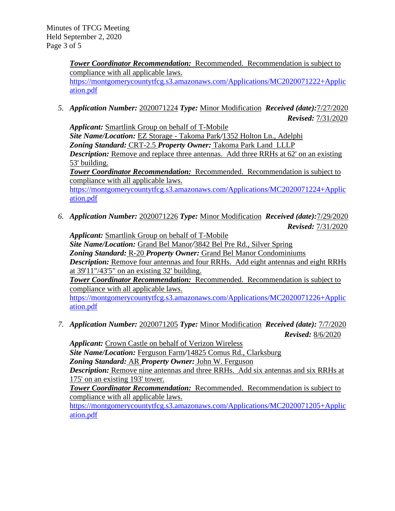*Tower Coordinator Recommendation:* Recommended. Recommendation is subject to compliance with all applicable laws. [https://montgomerycountytfcg.s3.amazonaws.com/Applications/MC2020071222+Applic](https://montgomerycountytfcg.s3.amazonaws.com/Applications/MC2020071222+Application.pdf) [ation.pdf](https://montgomerycountytfcg.s3.amazonaws.com/Applications/MC2020071222+Application.pdf)

*5. Application Number:* 2020071224 *Type:* Minor Modification *Received (date):*7/27/2020 *Revised:* 7/31/2020

*Applicant:* Smartlink Group on behalf of T-Mobile *Site Name/Location:* EZ Storage - Takoma Park*/*1352 Holton Ln., Adelphi *Zoning Standard:* CRT-2.5 *Property Owner:* Takoma Park Land LLLP *Description:* Remove and replace three antennas. Add three RRHs at 62' on an existing 53' building. *Tower Coordinator Recommendation:* Recommended. Recommendation is subject to compliance with all applicable laws.

[https://montgomerycountytfcg.s3.amazonaws.com/Applications/MC2020071224+Applic](https://montgomerycountytfcg.s3.amazonaws.com/Applications/MC2020071224+Application.pdf) [ation.pdf](https://montgomerycountytfcg.s3.amazonaws.com/Applications/MC2020071224+Application.pdf)

*6. Application Number:* 2020071226 *Type:* Minor Modification *Received (date):*7/29/2020 *Revised:* 7/31/2020

*Applicant:* Smartlink Group on behalf of T-Mobile *Site Name/Location:* Grand Bel Manor*/*3842 Bel Pre Rd., Silver Spring *Zoning Standard:* R-20 *Property Owner:* Grand Bel Manor Condominiums *Description:* Remove four antennas and four RRHs. Add eight antennas and eight RRHs at 39'11"/43'5" on an existing 32' building. *Tower Coordinator Recommendation:* Recommended. Recommendation is subject to

compliance with all applicable laws.

[https://montgomerycountytfcg.s3.amazonaws.com/Applications/MC2020071226+Applic](https://montgomerycountytfcg.s3.amazonaws.com/Applications/MC2020071226+Application.pdf) [ation.pdf](https://montgomerycountytfcg.s3.amazonaws.com/Applications/MC2020071226+Application.pdf)

*7. Application Number:* 2020071205 *Type:* Minor Modification *Received (date):* 7/7/2020 *Revised:* 8/6/2020

*Applicant:* Crown Castle on behalf of Verizon Wireless *Site Name/Location:* Ferguson Farm*/*14825 Comus Rd., Clarksburg *Zoning Standard:* AR *Property Owner:* John W. Ferguson *Description:* Remove nine antennas and three RRHs. Add six antennas and six RRHs at 175' on an existing 193' tower.

*Tower Coordinator Recommendation:* Recommended. Recommendation is subject to compliance with all applicable laws.

[https://montgomerycountytfcg.s3.amazonaws.com/Applications/MC2020071205+Applic](https://montgomerycountytfcg.s3.amazonaws.com/Applications/MC2020071205+Application.pdf) [ation.pdf](https://montgomerycountytfcg.s3.amazonaws.com/Applications/MC2020071205+Application.pdf)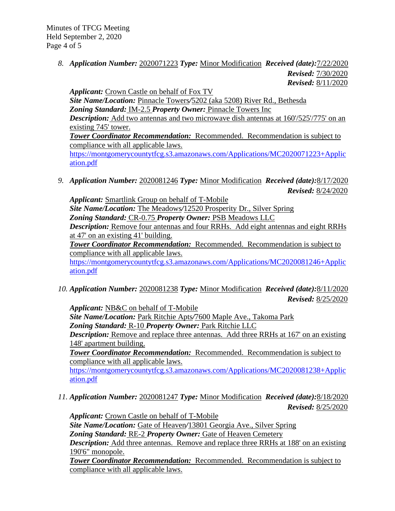Minutes of TFCG Meeting Held September 2, 2020 Page 4 of 5

> *8. Application Number:* 2020071223 *Type:* Minor Modification *Received (date):*7/22/2020 *Revised:* 7/30/2020 *Revised:* 8/11/2020

*Applicant:* Crown Castle on behalf of Fox TV *Site Name/Location:* Pinnacle Towers*/*5202 (aka 5208) River Rd., Bethesda *Zoning Standard:* IM-2.5 *Property Owner:* Pinnacle Towers Inc **Description:** Add two antennas and two microwave dish antennas at 160'/525'/775' on an existing 745' tower.

*Tower Coordinator Recommendation:* Recommended. Recommendation is subject to compliance with all applicable laws.

[https://montgomerycountytfcg.s3.amazonaws.com/Applications/MC2020071223+Applic](https://montgomerycountytfcg.s3.amazonaws.com/Applications/MC2020071223+Application.pdf) [ation.pdf](https://montgomerycountytfcg.s3.amazonaws.com/Applications/MC2020071223+Application.pdf)

*9. Application Number:* 2020081246 *Type:* Minor Modification *Received (date):*8/17/2020 *Revised:* 8/24/2020

*Applicant:* Smartlink Group on behalf of T-Mobile *Site Name/Location:* The Meadows*/*12520 Prosperity Dr., Silver Spring *Zoning Standard:* CR-0.75 *Property Owner:* PSB Meadows LLC *Description:* Remove four antennas and four RRHs. Add eight antennas and eight RRHs at 47' on an existing 41' building. *Tower Coordinator Recommendation:* Recommended. Recommendation is subject to compliance with all applicable laws. [https://montgomerycountytfcg.s3.amazonaws.com/Applications/MC2020081246+Applic](https://montgomerycountytfcg.s3.amazonaws.com/Applications/MC2020081246+Application.pdf) [ation.pdf](https://montgomerycountytfcg.s3.amazonaws.com/Applications/MC2020081246+Application.pdf)

*10. Application Number:* 2020081238 *Type:* Minor Modification *Received (date):*8/11/2020 *Revised:* 8/25/2020

*Applicant:* NB&C on behalf of T-Mobile

*Site Name/Location:* Park Ritchie Apts*/*7600 Maple Ave., Takoma Park *Zoning Standard:* R-10 *Property Owner:* Park Ritchie LLC

*Description:* Remove and replace three antennas. Add three RRHs at 167' on an existing 148' apartment building.

*Tower Coordinator Recommendation:* Recommended. Recommendation is subject to compliance with all applicable laws.

[https://montgomerycountytfcg.s3.amazonaws.com/Applications/MC2020081238+Applic](https://montgomerycountytfcg.s3.amazonaws.com/Applications/MC2020081238+Application.pdf) [ation.pdf](https://montgomerycountytfcg.s3.amazonaws.com/Applications/MC2020081238+Application.pdf)

*11. Application Number:* 2020081247 *Type:* Minor Modification *Received (date):*8/18/2020 *Revised:* 8/25/2020

*Applicant:* Crown Castle on behalf of T-Mobile *Site Name/Location:* Gate of Heaven*/*13801 Georgia Ave., Silver Spring *Zoning Standard:* RE-2 *Property Owner:* Gate of Heaven Cemetery *Description:* Add three antennas. Remove and replace three RRHs at 188' on an existing 190'6" monopole.

*Tower Coordinator Recommendation:* Recommended. Recommendation is subject to compliance with all applicable laws.